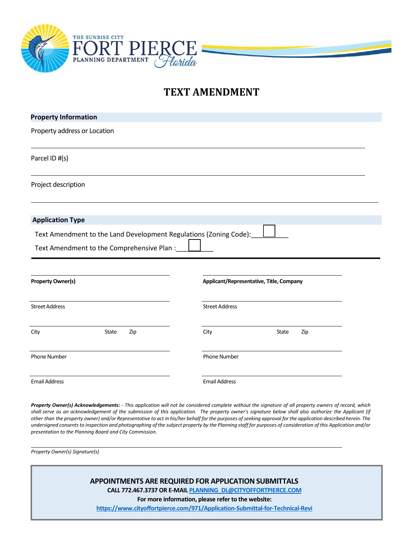

# **TEXT AMENDMENT**

| <b>Property Information</b>  |                                                                   |                       |                                          |  |  |
|------------------------------|-------------------------------------------------------------------|-----------------------|------------------------------------------|--|--|
| Property address or Location |                                                                   |                       |                                          |  |  |
| Parcel ID #(s)               |                                                                   |                       |                                          |  |  |
| Project description          |                                                                   |                       |                                          |  |  |
| <b>Application Type</b>      |                                                                   |                       |                                          |  |  |
|                              | Text Amendment to the Land Development Regulations (Zoning Code): |                       |                                          |  |  |
|                              | Text Amendment to the Comprehensive Plan:                         |                       |                                          |  |  |
| <b>Property Owner(s)</b>     |                                                                   |                       | Applicant/Representative, Title, Company |  |  |
| <b>Street Address</b>        |                                                                   | <b>Street Address</b> |                                          |  |  |
| City                         | State<br>Zip                                                      | City                  | State<br>Zip                             |  |  |
| Phone Number                 |                                                                   | Phone Number          |                                          |  |  |
| <b>Email Address</b>         |                                                                   | <b>Email Address</b>  |                                          |  |  |

Property Owner(s) Acknowledgements: - This application will not be considered complete without the signature of all property owners of record, which shall serve as an acknowledgement of the submission of this application. The property owner's signature below shall also authorize the Applicant (if other than the property owner) and/or Representative to act in his/her behalf for the purposes of seeking approval for the application described herein. The *undersigned consents to inspection and photographing of the subject property by the Planning staff for purposes of consideration of this Application and/or presentation to the Planning Board and City Commission.*

*Property Owner(s) Signature(s)*

**APPOINTMENTS ARE REQUIRED FOR APPLICATION SUBMITTALS CALL 772.467.3737 OR E-MAI[L PLANNING\\_DL@CITYOFFORTPIERCE.COM](mailto:PLANNING_DL@CITYOFFORTPIERCE.COM) For more information, please refer to the website: <https://www.cityoffortpierce.com/971/Application-Submittal-for-Technical-Revi>**